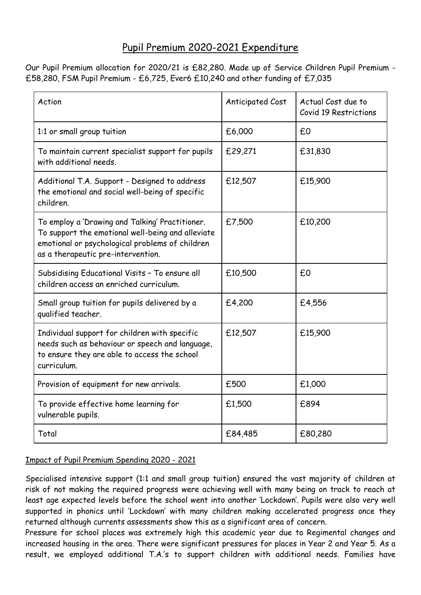## Pupil Premium 2020-2021 Expenditure

Our Pupil Premium allocation for 2020/21 is £82,280. Made up of Service Children Pupil Premium - £58,280, FSM Pupil Premium - £6,725, Ever6 £10,240 and other funding of £7,035

| Action                                                                                                                                                                                        | Anticipated Cost | Actual Cost due to<br>Covid 19 Restrictions |
|-----------------------------------------------------------------------------------------------------------------------------------------------------------------------------------------------|------------------|---------------------------------------------|
| 1:1 or small group tuition                                                                                                                                                                    | £6,000           | £0                                          |
| To maintain current specialist support for pupils<br>with additional needs.                                                                                                                   | £29,271          | £31,830                                     |
| Additional T.A. Support - Designed to address<br>the emotional and social well-being of specific<br>children.                                                                                 | £12,507          | £15,900                                     |
| To employ a 'Drawing and Talking' Practitioner.<br>To support the emotional well-being and alleviate<br>emotional or psychological problems of children<br>as a therapeutic pre-intervention. | £7,500           | £10,200                                     |
| Subsidising Educational Visits - To ensure all<br>children access an enriched curriculum.                                                                                                     | £10,500          | £0                                          |
| Small group tuition for pupils delivered by a<br>qualified teacher.                                                                                                                           | £4,200           | £4,556                                      |
| Individual support for children with specific<br>needs such as behaviour or speech and language,<br>to ensure they are able to access the school<br>curriculum.                               | £12,507          | £15,900                                     |
| Provision of equipment for new arrivals.                                                                                                                                                      | £500             | £1,000                                      |
| To provide effective home learning for<br>vulnerable pupils.                                                                                                                                  | £1,500           | £894                                        |
| Total                                                                                                                                                                                         | £84,485          | £80,280                                     |

## Impact of Pupil Premium Spending 2020 - 2021

Specialised intensive support (1:1 and small group tuition) ensured the vast majority of children at risk of not making the required progress were achieving well with many being on track to reach at least age expected levels before the school went into another 'Lockdown'. Pupils were also very well supported in phonics until 'Lockdown' with many children making accelerated progress once they returned although currents assessments show this as a significant area of concern.

Pressure for school places was extremely high this academic year due to Regimental changes and increased housing in the area. There were significant pressures for places in Year 2 and Year 5. As a result, we employed additional T.A.'s to support children with additional needs. Families have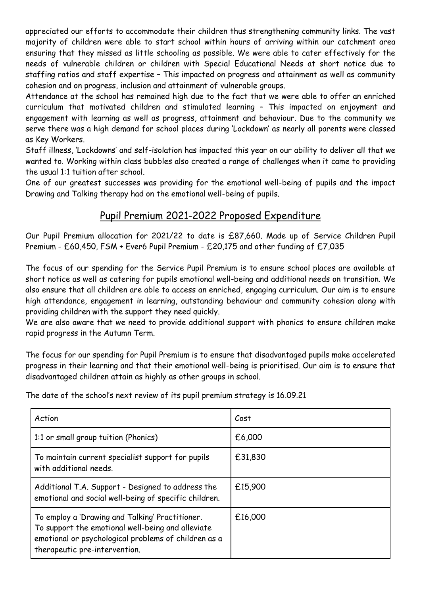appreciated our efforts to accommodate their children thus strengthening community links. The vast majority of children were able to start school within hours of arriving within our catchment area ensuring that they missed as little schooling as possible. We were able to cater effectively for the needs of vulnerable children or children with Special Educational Needs at short notice due to staffing ratios and staff expertise – This impacted on progress and attainment as well as community cohesion and on progress, inclusion and attainment of vulnerable groups.

Attendance at the school has remained high due to the fact that we were able to offer an enriched curriculum that motivated children and stimulated learning – This impacted on enjoyment and engagement with learning as well as progress, attainment and behaviour. Due to the community we serve there was a high demand for school places during 'Lockdown' as nearly all parents were classed as Key Workers.

Staff illness, 'Lockdowns' and self-isolation has impacted this year on our ability to deliver all that we wanted to. Working within class bubbles also created a range of challenges when it came to providing the usual 1:1 tuition after school.

One of our greatest successes was providing for the emotional well-being of pupils and the impact Drawing and Talking therapy had on the emotional well-being of pupils.

## Pupil Premium 2021-2022 Proposed Expenditure

Our Pupil Premium allocation for 2021/22 to date is £87,660. Made up of Service Children Pupil Premium - £60,450, FSM + Ever6 Pupil Premium - £20,175 and other funding of £7,035

The focus of our spending for the Service Pupil Premium is to ensure school places are available at short notice as well as catering for pupils emotional well-being and additional needs on transition. We also ensure that all children are able to access an enriched, engaging curriculum. Our aim is to ensure high attendance, engagement in learning, outstanding behaviour and community cohesion along with providing children with the support they need quickly.

We are also aware that we need to provide additional support with phonics to ensure children make rapid progress in the Autumn Term.

The focus for our spending for Pupil Premium is to ensure that disadvantaged pupils make accelerated progress in their learning and that their emotional well-being is prioritised. Our aim is to ensure that disadvantaged children attain as highly as other groups in school.

The date of the school's next review of its pupil premium strategy is 16.09.21

| Action                                                                                                                                                                                        | Cost    |
|-----------------------------------------------------------------------------------------------------------------------------------------------------------------------------------------------|---------|
| 1:1 or small group tuition (Phonics)                                                                                                                                                          | £6,000  |
| To maintain current specialist support for pupils<br>with additional needs.                                                                                                                   | £31,830 |
| Additional T.A. Support - Designed to address the<br>emotional and social well-being of specific children.                                                                                    | £15,900 |
| To employ a 'Drawing and Talking' Practitioner.<br>To support the emotional well-being and alleviate<br>emotional or psychological problems of children as a<br>therapeutic pre-intervention. | £16,000 |